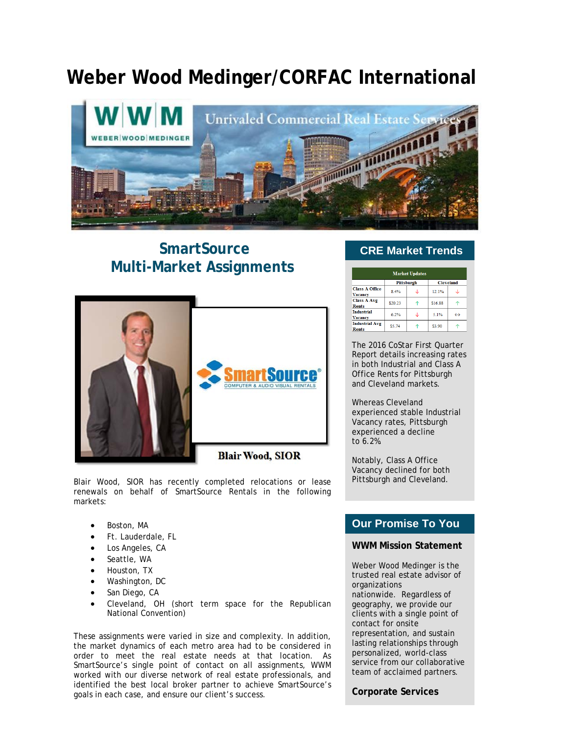# **Weber Wood Medinger/CORFAC International**



## **SmartSource Multi-Market Assignments**



Blair Wood, SIOR has recently completed relocations or lease renewals on behalf of SmartSource Rentals in the following markets:

- Boston, MA
- Ft. Lauderdale, FL
- Los Angeles, CA
- Seattle, WA
- Houston, TX
- Washington, DC
- San Diego, CA
- Cleveland, OH (short term space for the Republican National Convention)

These assignments were varied in size and complexity. In addition, the market dynamics of each metro area had to be considered in order to meet the real estate needs at that location. As SmartSource's single point of contact on all assignments, WWM worked with our diverse network of real estate professionals, and identified the best local broker partner to achieve SmartSource's goals in each case, and ensure our client's success.

#### **CRE Market Trends**

| <b>Market Updates</b>                   |                   |  |                  |                   |
|-----------------------------------------|-------------------|--|------------------|-------------------|
|                                         | <b>Pittsburgh</b> |  | <b>Cleveland</b> |                   |
| <b>Class A Office</b><br><b>Vacancy</b> | 8.4%              |  | 12.1%            |                   |
| <b>Class A Avg</b><br><b>Rents</b>      | \$20.23           |  | \$16.88          |                   |
| <b>Industrial</b><br><b>Vacancy</b>     | 6.2%              |  | 5.1%             | $\leftrightarrow$ |
| <b>Industrial Avg</b><br><b>Rents</b>   | \$5.74            |  | \$3.90           |                   |

The 2016 CoStar First Quarter Report details increasing rates in both Industrial and Class A Office Rents for Pittsburgh and Cleveland markets.

Whereas Cleveland experienced stable Industrial Vacancy rates, Pittsburgh experienced a decline to 6.2%.

Notably, Class A Office Vacancy declined for both Pittsburgh and Cleveland.

### **Our Promise To You**

#### **WWM Mission Statement**

Weber Wood Medinger is the trusted real estate advisor of organizations nationwide. Regardless of geography, we provide our clients with a single point of contact for onsite representation, and sustain lasting relationships through personalized, world-class service from our collaborative team of acclaimed partners.

#### **Corporate Services**